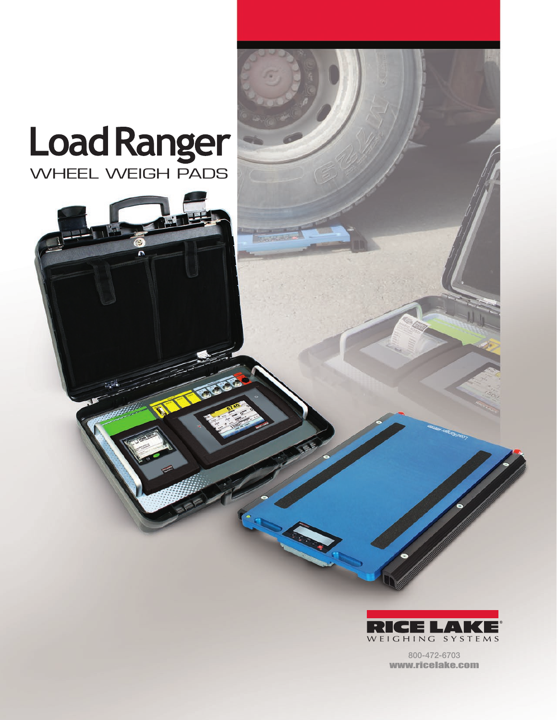## Load Ranger

 $\mathbf{C}$ 

171-

2256



800-472-6703 www.ricelake.com